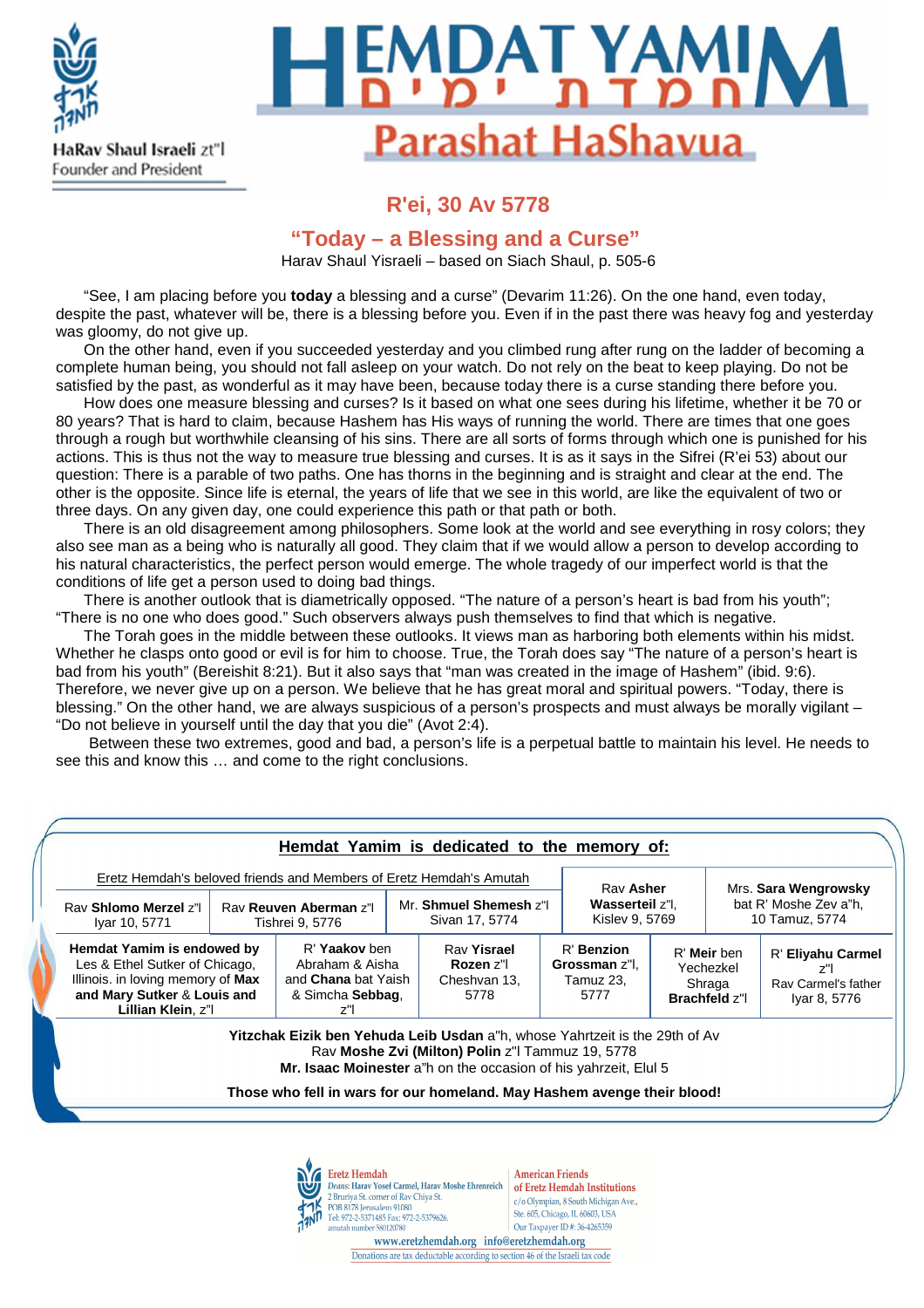

HaRav Shaul Israeli zt"l **Founder and President** 

# **DAI YAMI** Parashat HaShavua

### **R'ei, 30 Av 5778**

**"Today – a Blessing and a Curse"** 

Harav Shaul Yisraeli – based on Siach Shaul, p. 505-6

"See, I am placing before you **today** a blessing and a curse" (Devarim 11:26). On the one hand, even today, despite the past, whatever will be, there is a blessing before you. Even if in the past there was heavy fog and yesterday was gloomy, do not give up.

On the other hand, even if you succeeded yesterday and you climbed rung after rung on the ladder of becoming a complete human being, you should not fall asleep on your watch. Do not rely on the beat to keep playing. Do not be satisfied by the past, as wonderful as it may have been, because today there is a curse standing there before you.

How does one measure blessing and curses? Is it based on what one sees during his lifetime, whether it be 70 or 80 years? That is hard to claim, because Hashem has His ways of running the world. There are times that one goes through a rough but worthwhile cleansing of his sins. There are all sorts of forms through which one is punished for his actions. This is thus not the way to measure true blessing and curses. It is as it says in the Sifrei (R'ei 53) about our question: There is a parable of two paths. One has thorns in the beginning and is straight and clear at the end. The other is the opposite. Since life is eternal, the years of life that we see in this world, are like the equivalent of two or three days. On any given day, one could experience this path or that path or both.

There is an old disagreement among philosophers. Some look at the world and see everything in rosy colors; they also see man as a being who is naturally all good. They claim that if we would allow a person to develop according to his natural characteristics, the perfect person would emerge. The whole tragedy of our imperfect world is that the conditions of life get a person used to doing bad things.

There is another outlook that is diametrically opposed. "The nature of a person's heart is bad from his youth"; "There is no one who does good." Such observers always push themselves to find that which is negative.

The Torah goes in the middle between these outlooks. It views man as harboring both elements within his midst. Whether he clasps onto good or evil is for him to choose. True, the Torah does say "The nature of a person's heart is bad from his youth" (Bereishit 8:21). But it also says that "man was created in the image of Hashem" (ibid. 9:6). Therefore, we never give up on a person. We believe that he has great moral and spiritual powers. "Today, there is blessing." On the other hand, we are always suspicious of a person's prospects and must always be morally vigilant – "Do not believe in yourself until the day that you die" (Avot 2:4).

Between these two extremes, good and bad, a person's life is a perpetual battle to maintain his level. He needs to see this and know this … and come to the right conclusions.

|                                                                                                                                                        |                                           |                                                                                   |                                          | Hemdat Yamim is dedicated to the memory of:                                                                                                                                                               |                                                  |                                   |  |                                                     |                                                                 |
|--------------------------------------------------------------------------------------------------------------------------------------------------------|-------------------------------------------|-----------------------------------------------------------------------------------|------------------------------------------|-----------------------------------------------------------------------------------------------------------------------------------------------------------------------------------------------------------|--------------------------------------------------|-----------------------------------|--|-----------------------------------------------------|-----------------------------------------------------------------|
| Eretz Hemdah's beloved friends and Members of Eretz Hemdah's Amutah                                                                                    |                                           |                                                                                   |                                          |                                                                                                                                                                                                           |                                                  | Rav Asher                         |  | Mrs. Sara Wengrowsky                                |                                                                 |
| Rav Shlomo Merzel z"<br>Iyar 10, 5771                                                                                                                  | Rav Reuven Aberman z"I<br>Tishrei 9, 5776 |                                                                                   | Mr. Shmuel Shemesh z"I<br>Sivan 17, 5774 |                                                                                                                                                                                                           |                                                  | Wasserteil z"l.<br>Kislev 9, 5769 |  | bat R' Moshe Zev a"h.<br>10 Tamuz, 5774             |                                                                 |
| Hemdat Yamim is endowed by<br>Les & Ethel Sutker of Chicago,<br>Illinois. in loving memory of Max<br>and Mary Sutker & Louis and<br>Lillian Klein. z"l |                                           | R' Yaakov ben<br>Abraham & Aisha<br>and Chana bat Yaish<br>& Simcha Sebbag,<br>7" |                                          | Rav Yisrael<br>Rozen z"l<br>Cheshvan 13,<br>5778                                                                                                                                                          | R' Benzion<br>Grossman z"l.<br>Tamuz 23,<br>5777 |                                   |  | R' Meir ben<br>Yechezkel<br>Shraga<br>Brachfeld z"l | R' Eliyahu Carmel<br>z"l<br>Ray Carmel's father<br>Iyar 8, 5776 |
|                                                                                                                                                        |                                           |                                                                                   |                                          | <b>Yitzchak Eizik ben Yehuda Leib Usdan</b> a"h, whose Yahrtzeit is the 29th of Av<br>Rav Moshe Zvi (Milton) Polin z"I Tammuz 19, 5778<br>Mr. Isaac Moinester a h on the occasion of his vahrzeit, Elul 5 |                                                  |                                   |  |                                                     |                                                                 |
|                                                                                                                                                        |                                           |                                                                                   |                                          | Those who fell in wars for our homeland. May Hashem avenge their blood!                                                                                                                                   |                                                  |                                   |  |                                                     |                                                                 |



**American Friends** of Eretz Hemdah Institutions c/o Olympian, 8 South Michigan Aye., Ste. 605, Chicago, IL 60603, USA Our Taxpayer ID #: 36-4265359

www.eretzhemdah.org info@eretzhemdah.org Donations are tax deductable according to section 46 of the Israeli tax code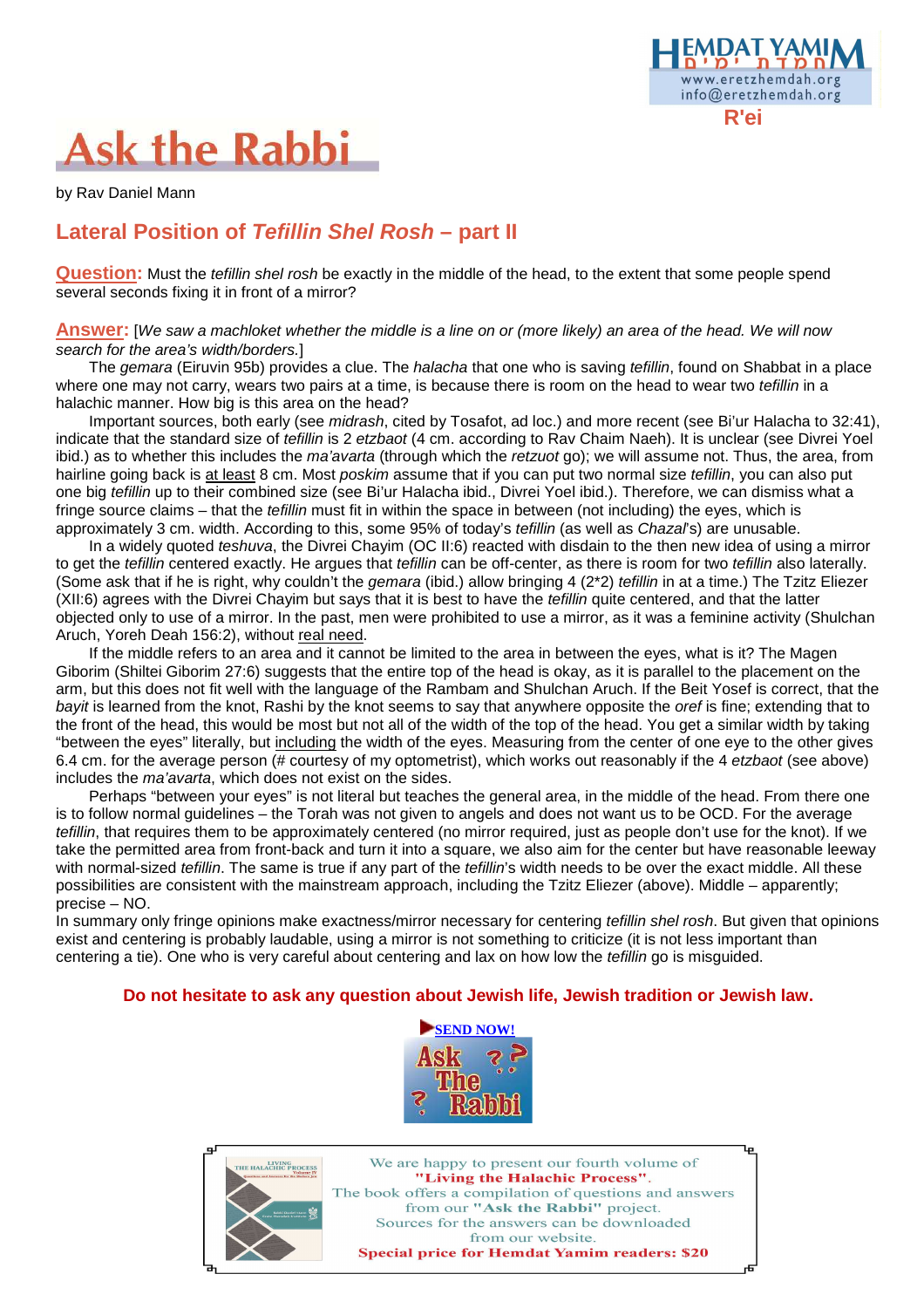

# **Ask the Rabbi**

by Rav Daniel Mann

### **Lateral Position of Tefillin Shel Rosh – part II**

**Question:** Must the *tefillin shel rosh* be exactly in the middle of the head, to the extent that some people spend several seconds fixing it in front of a mirror?

**Answer:** [We saw a machloket whether the middle is a line on or (more likely) an area of the head. We will now search for the area's width/borders.]

The *gemara* (Eiruvin 95b) provides a clue. The *halacha* that one who is saving *tefillin*, found on Shabbat in a place where one may not carry, wears two pairs at a time, is because there is room on the head to wear two *tefillin* in a halachic manner. How big is this area on the head?

Important sources, both early (see midrash, cited by Tosafot, ad loc.) and more recent (see Bi'ur Halacha to 32:41), indicate that the standard size of *tefillin* is 2 etzbaot (4 cm. according to Ray Chaim Naeh). It is unclear (see Divrei Yoel ibid.) as to whether this includes the ma'avarta (through which the retzuot go); we will assume not. Thus, the area, from hairline going back is at least 8 cm. Most *poskim* assume that if you can put two normal size *tefillin*, you can also put one big tefillin up to their combined size (see Bi'ur Halacha ibid., Divrei Yoel ibid.). Therefore, we can dismiss what a fringe source claims – that the *tefillin* must fit in within the space in between (not including) the eyes, which is approximately 3 cm. width. According to this, some 95% of today's tefillin (as well as Chazal's) are unusable.

In a widely quoted teshuva, the Divrei Chayim (OC II:6) reacted with disdain to the then new idea of using a mirror to get the tefillin centered exactly. He argues that tefillin can be off-center, as there is room for two tefillin also laterally. (Some ask that if he is right, why couldn't the gemara (ibid.) allow bringing 4 (2\*2) tefillin in at a time.) The Tzitz Eliezer (XII:6) agrees with the Divrei Chayim but says that it is best to have the tefillin quite centered, and that the latter objected only to use of a mirror. In the past, men were prohibited to use a mirror, as it was a feminine activity (Shulchan Aruch, Yoreh Deah 156:2), without real need.

If the middle refers to an area and it cannot be limited to the area in between the eyes, what is it? The Magen Giborim (Shiltei Giborim 27:6) suggests that the entire top of the head is okay, as it is parallel to the placement on the arm, but this does not fit well with the language of the Rambam and Shulchan Aruch. If the Beit Yosef is correct, that the bay t is learned from the knot. Rashi by the knot seems to say that anywhere opposite the *oref* is fine; extending that to the front of the head, this would be most but not all of the width of the top of the head. You get a similar width by taking "between the eyes" literally, but including the width of the eyes. Measuring from the center of one eye to the other gives 6.4 cm, for the average person (# courtesy of my optometrist), which works out reasonably if the 4 etzbaot (see above) includes the ma'avarta, which does not exist on the sides.

Perhaps "between your eyes" is not literal but teaches the general area, in the middle of the head. From there one is to follow normal guidelines – the Torah was not given to angels and does not want us to be OCD. For the average tefillin, that requires them to be approximately centered (no mirror required, just as people don't use for the knot). If we take the permitted area from front-back and turn it into a square, we also aim for the center but have reasonable leeway with normal-sized tefillin. The same is true if any part of the tefillin's width needs to be over the exact middle. All these possibilities are consistent with the mainstream approach, including the Tzitz Eliezer (above). Middle – apparently; precise – NO.

In summary only fringe opinions make exactness/mirror necessary for centering tefillin shel rosh. But given that opinions exist and centering is probably laudable, using a mirror is not something to criticize (it is not less important than centering a tie). One who is very careful about centering and lax on how low the *tefillin* go is misguided.

#### **Do not hesitate to ask any question about Jewish life, Jewish tradition or Jewish law.**



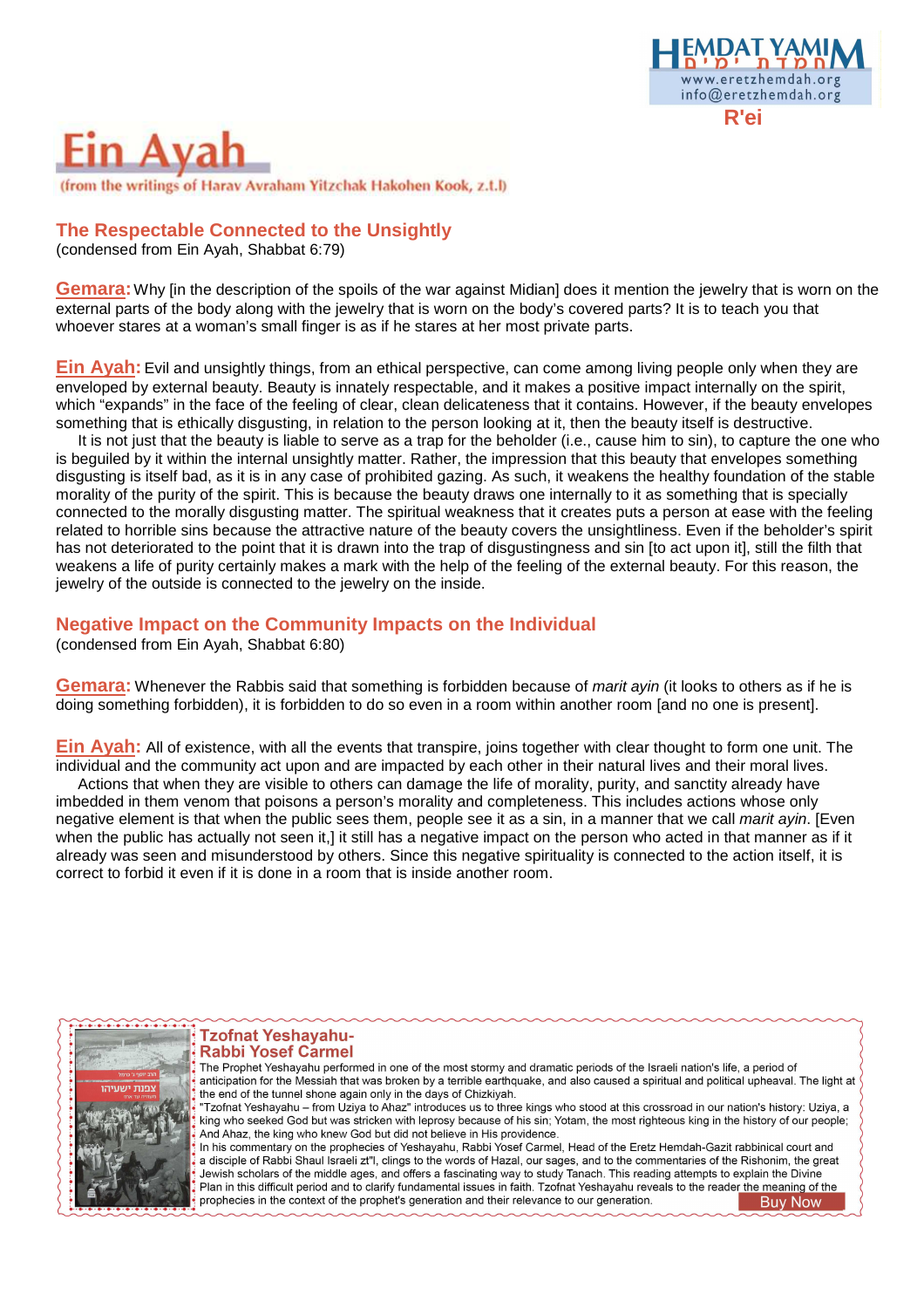

# in Ava

(from the writings of Harav Avraham Yitzchak Hakohen Kook, z.t.l)

#### **The Respectable Connected to the Unsightly**

(condensed from Ein Ayah, Shabbat 6:79)

**Gemara:**Why [in the description of the spoils of the war against Midian] does it mention the jewelry that is worn on the external parts of the body along with the jewelry that is worn on the body's covered parts? It is to teach you that whoever stares at a woman's small finger is as if he stares at her most private parts.

**Ein Ayah:** Evil and unsightly things, from an ethical perspective, can come among living people only when they are enveloped by external beauty. Beauty is innately respectable, and it makes a positive impact internally on the spirit, which "expands" in the face of the feeling of clear, clean delicateness that it contains. However, if the beauty envelopes something that is ethically disgusting, in relation to the person looking at it, then the beauty itself is destructive.

It is not just that the beauty is liable to serve as a trap for the beholder (i.e., cause him to sin), to capture the one who is beguiled by it within the internal unsightly matter. Rather, the impression that this beauty that envelopes something disgusting is itself bad, as it is in any case of prohibited gazing. As such, it weakens the healthy foundation of the stable morality of the purity of the spirit. This is because the beauty draws one internally to it as something that is specially connected to the morally disgusting matter. The spiritual weakness that it creates puts a person at ease with the feeling related to horrible sins because the attractive nature of the beauty covers the unsightliness. Even if the beholder's spirit has not deteriorated to the point that it is drawn into the trap of disgustingness and sin [to act upon it], still the filth that weakens a life of purity certainly makes a mark with the help of the feeling of the external beauty. For this reason, the jewelry of the outside is connected to the jewelry on the inside.

#### **Negative Impact on the Community Impacts on the Individual**

(condensed from Ein Ayah, Shabbat 6:80)

**Gemara:** Whenever the Rabbis said that something is forbidden because of marit ayin (it looks to others as if he is doing something forbidden), it is forbidden to do so even in a room within another room [and no one is present].

**Ein Ayah:** All of existence, with all the events that transpire, joins together with clear thought to form one unit. The individual and the community act upon and are impacted by each other in their natural lives and their moral lives.

Actions that when they are visible to others can damage the life of morality, purity, and sanctity already have imbedded in them venom that poisons a person's morality and completeness. This includes actions whose only negative element is that when the public sees them, people see it as a sin, in a manner that we call marit ayin. [Even when the public has actually not seen it,] it still has a negative impact on the person who acted in that manner as if it already was seen and misunderstood by others. Since this negative spirituality is connected to the action itself, it is correct to forbid it even if it is done in a room that is inside another room.



#### **Tzofnat Yeshayahu-Rabbi Yosef Carmel**

The Prophet Yeshayahu performed in one of the most stormy and dramatic periods of the Israeli nation's life, a period of anticipation for the Messiah that was broken by a terrible earthquake, and also caused a spiritual and political upheaval. The light at the end of the tunnel shone again only in the days of Chizkiyah.

Tzofnat Yeshayahu - from Uziya to Ahaz" introduces us to three kings who stood at this crossroad in our nation's history: Uziya, a king who seeked God but was stricken with leprosy because of his sin; Yotam, the most righteous king in the history of our people; And Ahaz, the king who knew God but did not believe in His providence.

In his commentary on the prophecies of Yeshayahu, Rabbi Yosef Carmel, Head of the Eretz Hemdah-Gazit rabbinical court and a disciple of Rabbi Shaul Israeli zt"l, clings to the words of Hazal, our sages, and to the commentaries of the Rishonim, the great Jewish scholars of the middle ages, and offers a fascinating way to study Tanach. This reading attempts to explain the Divine Plan in this difficult period and to clarify fundamental issues in faith. Tzofnat Yeshayahu reveals to the reader the meaning of the prophecies in the context of the prophet's generation and their relevance to our generation. **Buy Now**